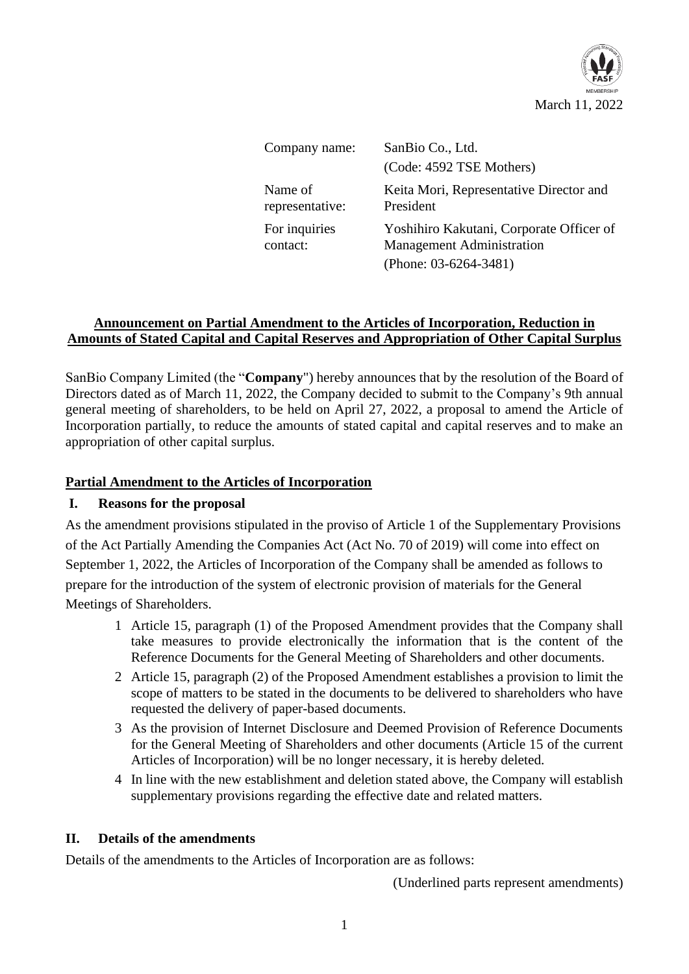

| Company name:              | SanBio Co., Ltd.<br>(Code: 4592 TSE Mothers)                                                             |
|----------------------------|----------------------------------------------------------------------------------------------------------|
| Name of<br>representative: | Keita Mori, Representative Director and<br>President                                                     |
| For inquiries<br>contact:  | Yoshihiro Kakutani, Corporate Officer of<br><b>Management Administration</b><br>(Phone: $03-6264-3481$ ) |

## **Announcement on Partial Amendment to the Articles of Incorporation, Reduction in Amounts of Stated Capital and Capital Reserves and Appropriation of Other Capital Surplus**

SanBio Company Limited (the "**Company**") hereby announces that by the resolution of the Board of Directors dated as of March 11, 2022, the Company decided to submit to the Company's 9th annual general meeting of shareholders, to be held on April 27, 2022, a proposal to amend the Article of Incorporation partially, to reduce the amounts of stated capital and capital reserves and to make an appropriation of other capital surplus.

## **Partial Amendment to the Articles of Incorporation**

### **I. Reasons for the proposal**

As the amendment provisions stipulated in the proviso of Article 1 of the Supplementary Provisions of the Act Partially Amending the Companies Act (Act No. 70 of 2019) will come into effect on September 1, 2022, the Articles of Incorporation of the Company shall be amended as follows to prepare for the introduction of the system of electronic provision of materials for the General Meetings of Shareholders.

- 1 Article 15, paragraph (1) of the Proposed Amendment provides that the Company shall take measures to provide electronically the information that is the content of the Reference Documents for the General Meeting of Shareholders and other documents.
- 2 Article 15, paragraph (2) of the Proposed Amendment establishes a provision to limit the scope of matters to be stated in the documents to be delivered to shareholders who have requested the delivery of paper-based documents.
- 3 As the provision of Internet Disclosure and Deemed Provision of Reference Documents for the General Meeting of Shareholders and other documents (Article 15 of the current Articles of Incorporation) will be no longer necessary, it is hereby deleted.
- 4 In line with the new establishment and deletion stated above, the Company will establish supplementary provisions regarding the effective date and related matters.

### **II. Details of the amendments**

Details of the amendments to the Articles of Incorporation are as follows:

(Underlined parts represent amendments)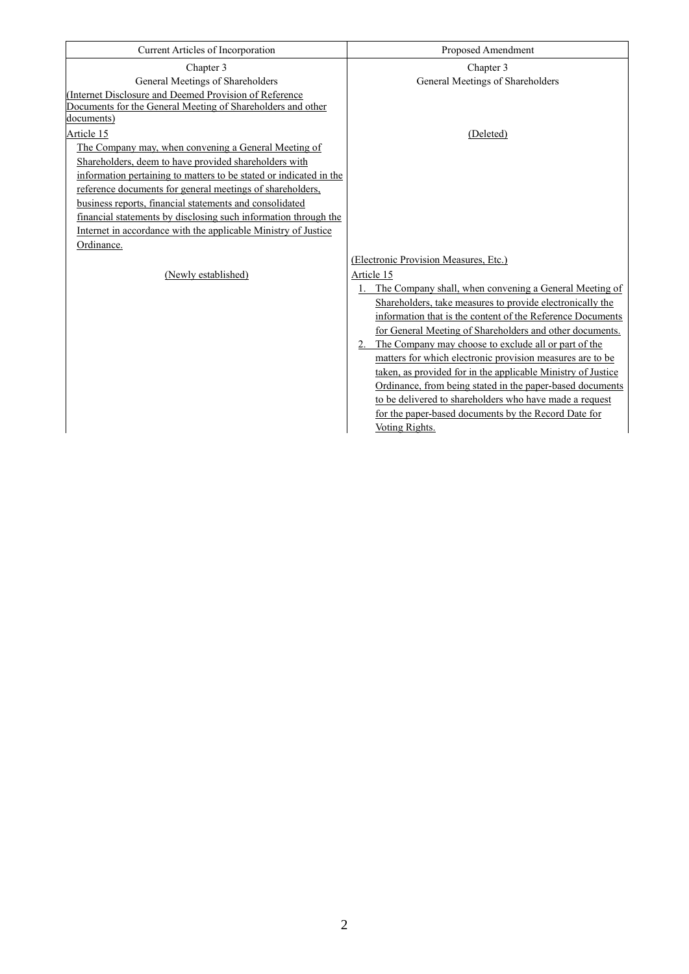| Current Articles of Incorporation                                  | Proposed Amendment                                           |
|--------------------------------------------------------------------|--------------------------------------------------------------|
| Chapter 3                                                          | Chapter 3                                                    |
| General Meetings of Shareholders                                   | General Meetings of Shareholders                             |
| (Internet Disclosure and Deemed Provision of Reference             |                                                              |
| Documents for the General Meeting of Shareholders and other        |                                                              |
| documents)                                                         |                                                              |
| Article 15                                                         | (Deleted)                                                    |
| The Company may, when convening a General Meeting of               |                                                              |
| Shareholders, deem to have provided shareholders with              |                                                              |
| information pertaining to matters to be stated or indicated in the |                                                              |
| reference documents for general meetings of shareholders,          |                                                              |
| business reports, financial statements and consolidated            |                                                              |
| financial statements by disclosing such information through the    |                                                              |
| Internet in accordance with the applicable Ministry of Justice     |                                                              |
| Ordinance.                                                         |                                                              |
|                                                                    | (Electronic Provision Measures, Etc.)                        |
| (Newly established)                                                | Article 15                                                   |
|                                                                    | 1. The Company shall, when convening a General Meeting of    |
|                                                                    | Shareholders, take measures to provide electronically the    |
|                                                                    | information that is the content of the Reference Documents   |
|                                                                    | for General Meeting of Shareholders and other documents.     |
|                                                                    | 2. The Company may choose to exclude all or part of the      |
|                                                                    | matters for which electronic provision measures are to be    |
|                                                                    | taken, as provided for in the applicable Ministry of Justice |
|                                                                    | Ordinance, from being stated in the paper-based documents    |
|                                                                    | to be delivered to shareholders who have made a request      |
|                                                                    | for the paper-based documents by the Record Date for         |
|                                                                    | Voting Rights.                                               |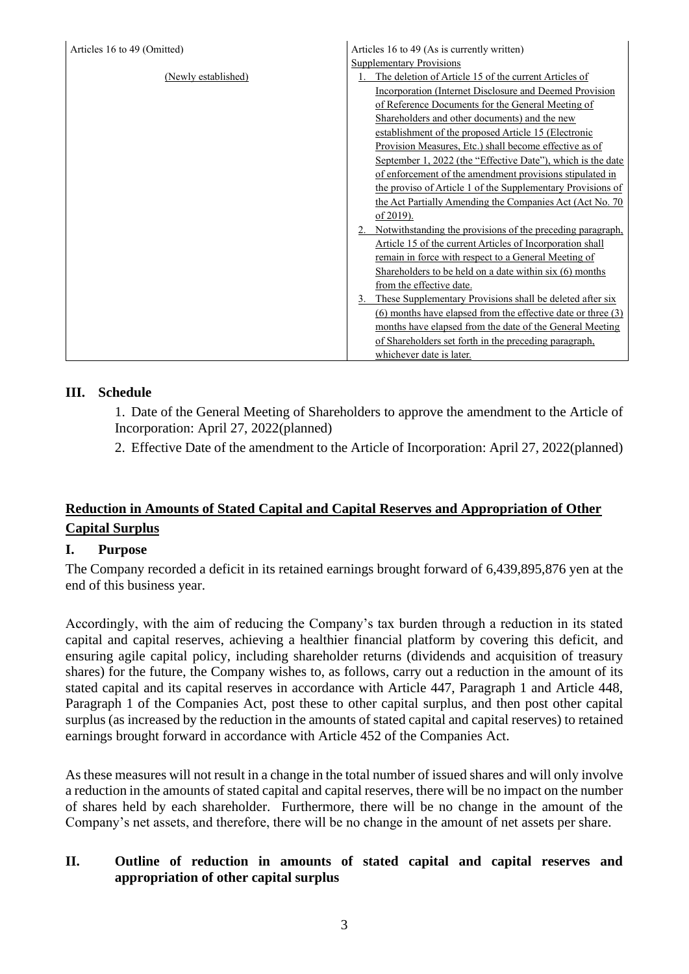| Articles 16 to 49 (Omitted) | Articles 16 to 49 (As is currently written)                      |
|-----------------------------|------------------------------------------------------------------|
|                             | <b>Supplementary Provisions</b>                                  |
| (Newly established)         | 1. The deletion of Article 15 of the current Articles of         |
|                             | Incorporation (Internet Disclosure and Deemed Provision          |
|                             | of Reference Documents for the General Meeting of                |
|                             | Shareholders and other documents) and the new                    |
|                             | establishment of the proposed Article 15 (Electronic             |
|                             | Provision Measures, Etc.) shall become effective as of           |
|                             | September 1, 2022 (the "Effective Date"), which is the date      |
|                             | of enforcement of the amendment provisions stipulated in         |
|                             | the proviso of Article 1 of the Supplementary Provisions of      |
|                             | the Act Partially Amending the Companies Act (Act No. 70)        |
|                             | of 2019).                                                        |
|                             | Notwithstanding the provisions of the preceding paragraph,<br>2. |
|                             | Article 15 of the current Articles of Incorporation shall        |
|                             | remain in force with respect to a General Meeting of             |
|                             | Shareholders to be held on a date within six (6) months          |
|                             | from the effective date.                                         |
|                             | 3. These Supplementary Provisions shall be deleted after six     |
|                             | (6) months have elapsed from the effective date or three (3)     |
|                             | months have elapsed from the date of the General Meeting         |
|                             | of Shareholders set forth in the preceding paragraph,            |
|                             | whichever date is later.                                         |

### **III. Schedule**

1. Date of the General Meeting of Shareholders to approve the amendment to the Article of Incorporation: April 27, 2022(planned)

2. Effective Date of the amendment to the Article of Incorporation: April 27, 2022(planned)

# **Reduction in Amounts of Stated Capital and Capital Reserves and Appropriation of Other Capital Surplus**

### **I. Purpose**

The Company recorded a deficit in its retained earnings brought forward of 6,439,895,876 yen at the end of this business year.

Accordingly, with the aim of reducing the Company's tax burden through a reduction in its stated capital and capital reserves, achieving a healthier financial platform by covering this deficit, and ensuring agile capital policy, including shareholder returns (dividends and acquisition of treasury shares) for the future, the Company wishes to, as follows, carry out a reduction in the amount of its stated capital and its capital reserves in accordance with Article 447, Paragraph 1 and Article 448, Paragraph 1 of the Companies Act, post these to other capital surplus, and then post other capital surplus (as increased by the reduction in the amounts of stated capital and capital reserves) to retained earnings brought forward in accordance with Article 452 of the Companies Act.

As these measures will not result in a change in the total number of issued shares and will only involve a reduction in the amounts of stated capital and capital reserves, there will be no impact on the number of shares held by each shareholder. Furthermore, there will be no change in the amount of the Company's net assets, and therefore, there will be no change in the amount of net assets per share.

### **II. Outline of reduction in amounts of stated capital and capital reserves and appropriation of other capital surplus**